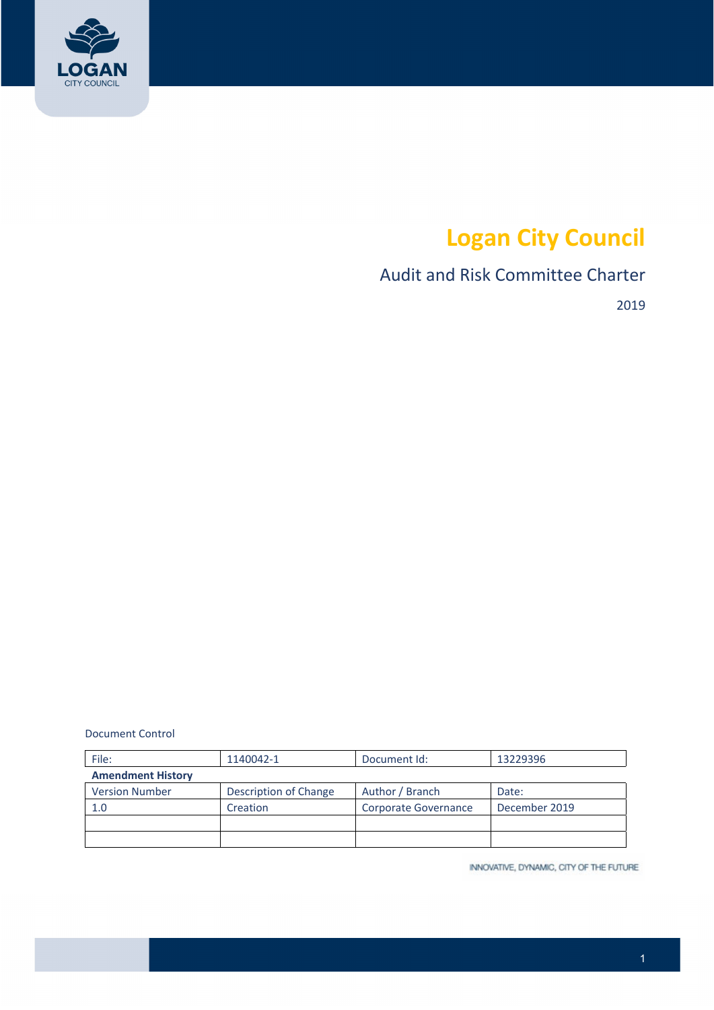

# **Logan City Council**

# Audit and Risk Committee Charter

2019

Document Control

| File:                    | 1140042-1             | Document Id:         | 13229396      |  |
|--------------------------|-----------------------|----------------------|---------------|--|
| <b>Amendment History</b> |                       |                      |               |  |
| <b>Version Number</b>    | Description of Change | Author / Branch      | Date:         |  |
| 1.0                      | Creation              | Corporate Governance | December 2019 |  |
|                          |                       |                      |               |  |
|                          |                       |                      |               |  |

INNOVATIVE, DYNAMIC, CITY OF THE FUTURE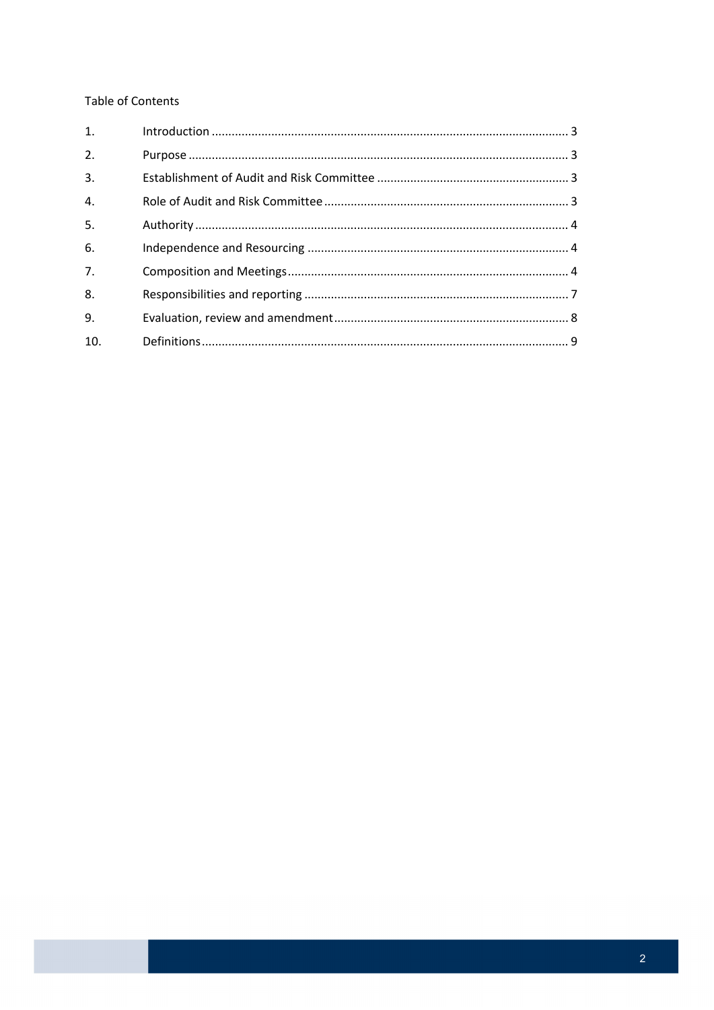### **Table of Contents**

| 1.               |  |
|------------------|--|
| 2.               |  |
| 3.               |  |
| $\overline{4}$ . |  |
| 5.               |  |
| 6.               |  |
| 7 <sub>1</sub>   |  |
| 8.               |  |
| 9.               |  |
| 10.              |  |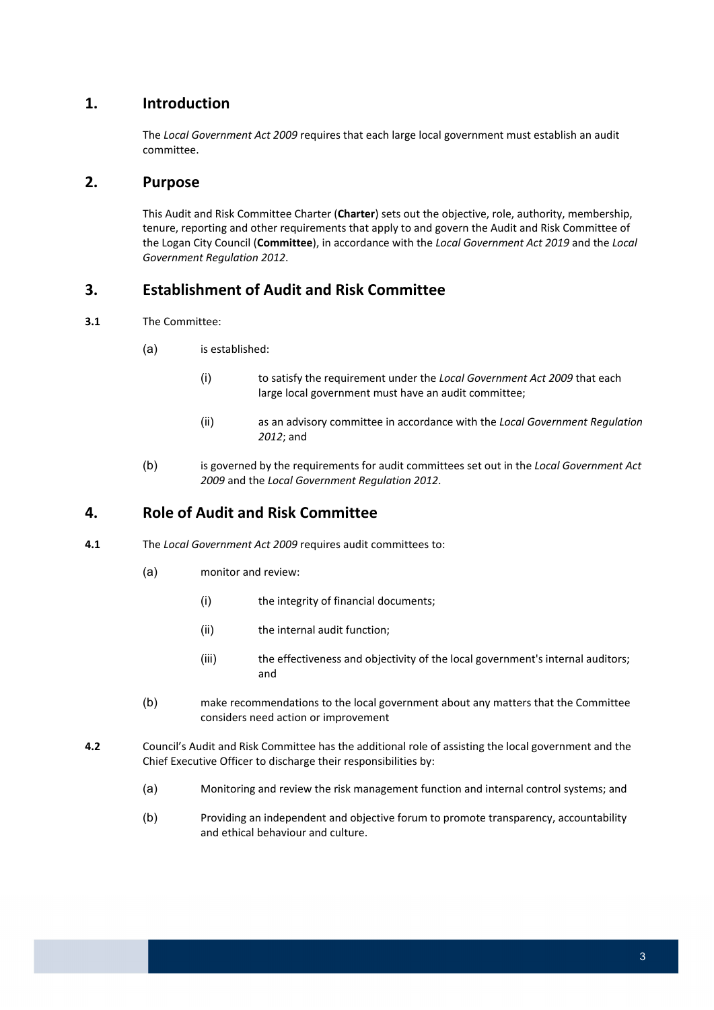# **1. Introduction**

 The *Local Government Act 2009* requires that each large local government must establish an audit committee.

## **2. Purpose**

 This Audit and Risk Committee Charter (**Charter**) sets out the objective, role, authority, membership, tenure, reporting and other requirements that apply to and govern the Audit and Risk Committee of the Logan City Council (**Committee**), in accordance with the *Local Government Act 2019* and the *Local Government Regulation 2012*.

# **3. Establishment of Audit and Risk Committee**

- **3.1** The Committee:
	- (a) is established:
		- (i) to satisfy the requirement under the *Local Government Act 2009* that each large local government must have an audit committee;
		- (ii) as an advisory committee in accordance with the *Local Government Regulation 2012*; and
	- (b) is governed by the requirements for audit committees set out in the *Local Government Act 2009* and the *Local Government Regulation 2012*.

# **4. Role of Audit and Risk Committee**

- **4.1** The *Local Government Act 2009* requires audit committees to:
	- (a) monitor and review:
		- (i) the integrity of financial documents;
		- (ii) the internal audit function;
		- (iii) the effectiveness and objectivity of the local government's internal auditors; and
	- (b) make recommendations to the local government about any matters that the Committee considers need action or improvement
- **4.2** Council's Audit and Risk Committee has the additional role of assisting the local government and the Chief Executive Officer to discharge their responsibilities by:
	- (a) Monitoring and review the risk management function and internal control systems; and
	- (b) Providing an independent and objective forum to promote transparency, accountability and ethical behaviour and culture.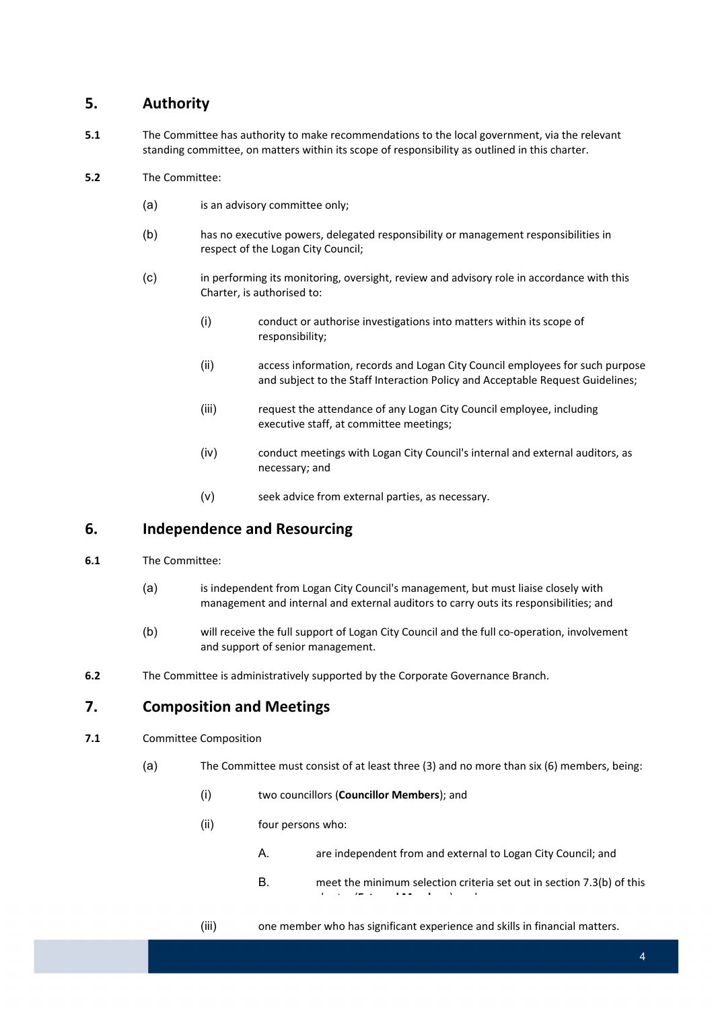# **5. Authority**

- **5.1** The Committee has authority to make recommendations to the local government, via the relevant standing committee, on matters within its scope of responsibility as outlined in this charter.
- **5.2** The Committee:
	- (a) is an advisory committee only;
	- (b) has no executive powers, delegated responsibility or management responsibilities in respect of the Logan City Council;
	- (c) in performing its monitoring, oversight, review and advisory role in accordance with this Charter, is authorised to:
		- (i) conduct or authorise investigations into matters within its scope of responsibility;
		- (ii) access information, records and Logan City Council employees for such purpose and subject to the Staff Interaction Policy and Acceptable Request Guidelines;
		- (iii) request the attendance of any Logan City Council employee, including executive staff, at committee meetings;
		- (iv) conduct meetings with Logan City Council's internal and external auditors, as necessary; and
		- (v) seek advice from external parties, as necessary.

# **6. Independence and Resourcing**

- **6.1** The Committee:
	- (a) is independent from Logan City Council's management, but must liaise closely with management and internal and external auditors to carry outs its responsibilities; and
	- (b) will receive the full support of Logan City Council and the full co-operation, involvement and support of senior management.
- **6.2** The Committee is administratively supported by the Corporate Governance Branch.

# **7. Composition and Meetings**

- **7.1** Committee Composition
	- (a) The Committee must consist of at least three (3) and no more than six (6) members, being:
		- (i) two councillors (**Councillor Members**); and
		- (ii) four persons who:
			- A. are independent from and external to Logan City Council; and
			- B. meet the minimum selection criteria set out in section 7.3(b) of this charter (**External Members**); and
		-
		- (iii) one member who has significant experience and skills in financial matters.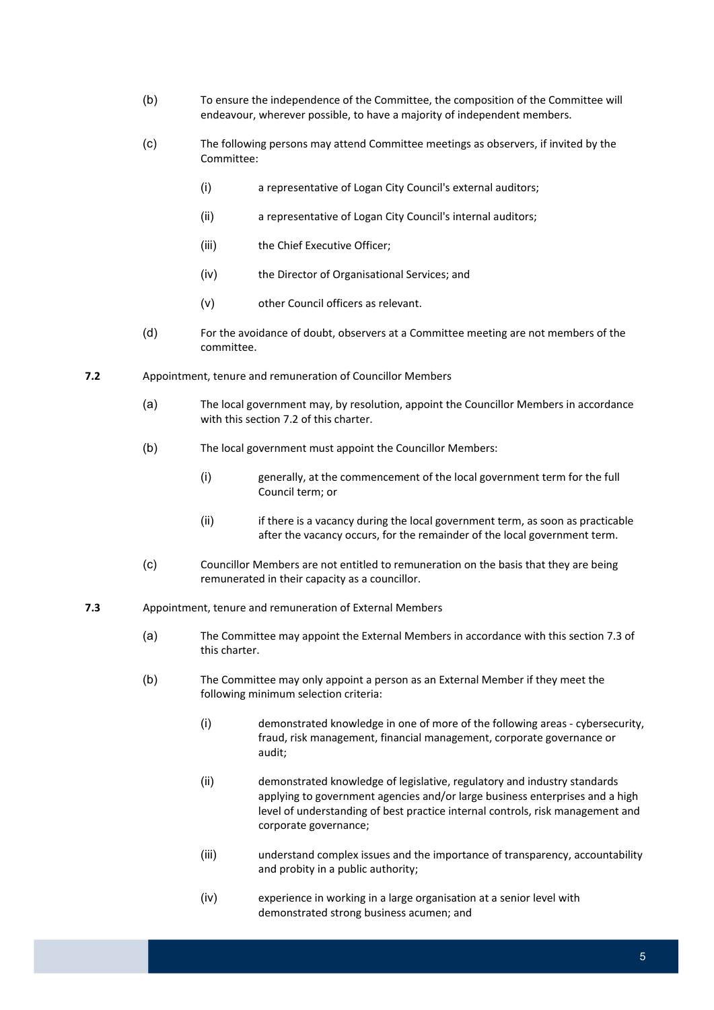- (b) To ensure the independence of the Committee, the composition of the Committee will endeavour, wherever possible, to have a majority of independent members.
- (c) The following persons may attend Committee meetings as observers, if invited by the Committee:
	- (i) a representative of Logan City Council's external auditors;
	- (ii) a representative of Logan City Council's internal auditors;
	- (iii) the Chief Executive Officer;
	- (iv) the Director of Organisational Services; and
	- (v) other Council officers as relevant.
- (d) For the avoidance of doubt, observers at a Committee meeting are not members of the committee.
- **7.2** Appointment, tenure and remuneration of Councillor Members
	- (a) The local government may, by resolution, appoint the Councillor Members in accordance with this section 7.2 of this charter.
	- (b) The local government must appoint the Councillor Members:
		- (i) generally, at the commencement of the local government term for the full Council term; or
		- (ii) if there is a vacancy during the local government term, as soon as practicable after the vacancy occurs, for the remainder of the local government term.
	- (c) Councillor Members are not entitled to remuneration on the basis that they are being remunerated in their capacity as a councillor.

#### **7.3** Appointment, tenure and remuneration of External Members

- (a) The Committee may appoint the External Members in accordance with this section 7.3 of this charter.
- (b) The Committee may only appoint a person as an External Member if they meet the following minimum selection criteria:
	- (i) demonstrated knowledge in one of more of the following areas ‐ cybersecurity, fraud, risk management, financial management, corporate governance or audit;
	- (ii) demonstrated knowledge of legislative, regulatory and industry standards applying to government agencies and/or large business enterprises and a high level of understanding of best practice internal controls, risk management and corporate governance;
	- (iii) understand complex issues and the importance of transparency, accountability and probity in a public authority;
	- (iv) experience in working in a large organisation at a senior level with demonstrated strong business acumen; and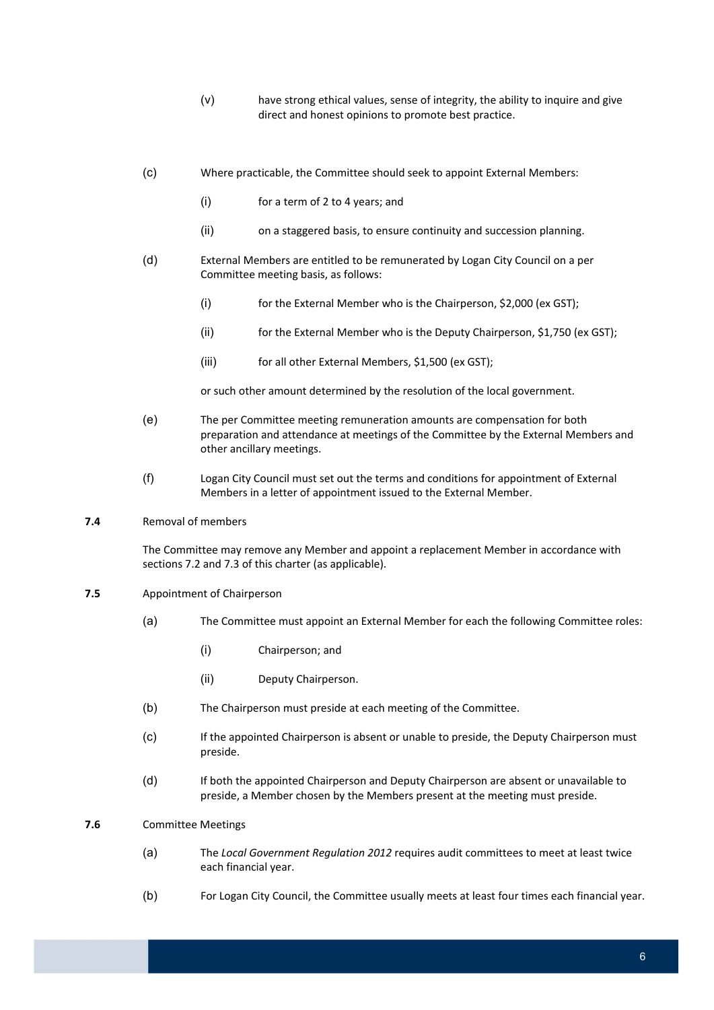- (v) have strong ethical values, sense of integrity, the ability to inquire and give direct and honest opinions to promote best practice.
- (c) Where practicable, the Committee should seek to appoint External Members:
	- (i) for a term of 2 to 4 years; and
	- (ii) on a staggered basis, to ensure continuity and succession planning.
- (d) External Members are entitled to be remunerated by Logan City Council on a per Committee meeting basis, as follows:
	- (i) for the External Member who is the Chairperson, \$2,000 (ex GST);
	- (ii) for the External Member who is the Deputy Chairperson, \$1,750 (ex GST);
	- (iii) for all other External Members, \$1,500 (ex GST);

or such other amount determined by the resolution of the local government.

- (e) The per Committee meeting remuneration amounts are compensation for both preparation and attendance at meetings of the Committee by the External Members and other ancillary meetings.
- (f) Logan City Council must set out the terms and conditions for appointment of External Members in a letter of appointment issued to the External Member.

#### **7.4** Removal of members

 The Committee may remove any Member and appoint a replacement Member in accordance with sections 7.2 and 7.3 of this charter (as applicable).

- **7.5** Appointment of Chairperson
	- (a) The Committee must appoint an External Member for each the following Committee roles:
		- (i) Chairperson; and
		- (ii) Deputy Chairperson.
	- (b) The Chairperson must preside at each meeting of the Committee.
	- (c) If the appointed Chairperson is absent or unable to preside, the Deputy Chairperson must preside.
	- (d) If both the appointed Chairperson and Deputy Chairperson are absent or unavailable to preside, a Member chosen by the Members present at the meeting must preside.

#### **7.6** Committee Meetings

- (a) The *Local Government Regulation 2012* requires audit committees to meet at least twice each financial year.
- (b) For Logan City Council, the Committee usually meets at least four times each financial year.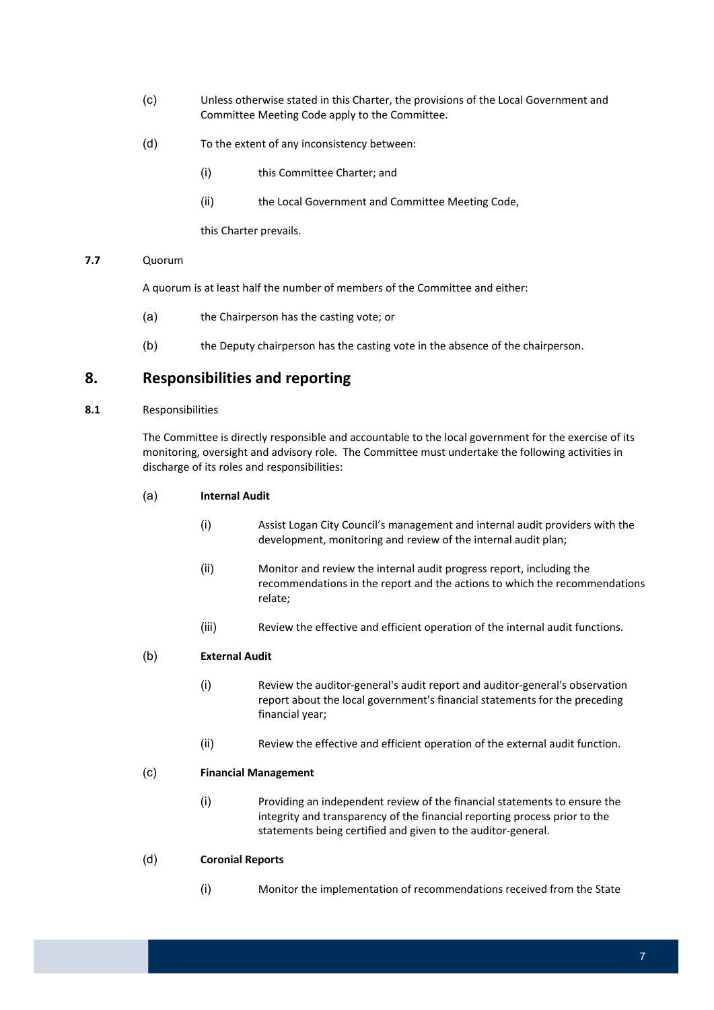- (c) Unless otherwise stated in this Charter, the provisions of the Local Government and Committee Meeting Code apply to the Committee.
- (d) To the extent of any inconsistency between:
	- (i) this Committee Charter; and
	- (ii) the Local Government and Committee Meeting Code,

this Charter prevails.

#### **7.7** Quorum

A quorum is at least half the number of members of the Committee and either:

- (a) the Chairperson has the casting vote; or
- (b) the Deputy chairperson has the casting vote in the absence of the chairperson.

# **8. Responsibilities and reporting**

#### **8.1** Responsibilities

 The Committee is directly responsible and accountable to the local government for the exercise of its monitoring, oversight and advisory role. The Committee must undertake the following activities in discharge of its roles and responsibilities:

#### (a) **Internal Audit**

- (i) Assist Logan City Council's management and internal audit providers with the development, monitoring and review of the internal audit plan;
- (ii) Monitor and review the internal audit progress report, including the recommendations in the report and the actions to which the recommendations relate;
- (iii) Review the effective and efficient operation of the internal audit functions.

#### (b) **External Audit**

- (i) Review the auditor‐general's audit report and auditor‐general's observation report about the local government's financial statements for the preceding financial year;
- (ii) Review the effective and efficient operation of the external audit function.

#### (c) **Financial Management**

 (i) Providing an independent review of the financial statements to ensure the integrity and transparency of the financial reporting process prior to the statements being certified and given to the auditor‐general.

#### (d) **Coronial Reports**

(i) Monitor the implementation of recommendations received from the State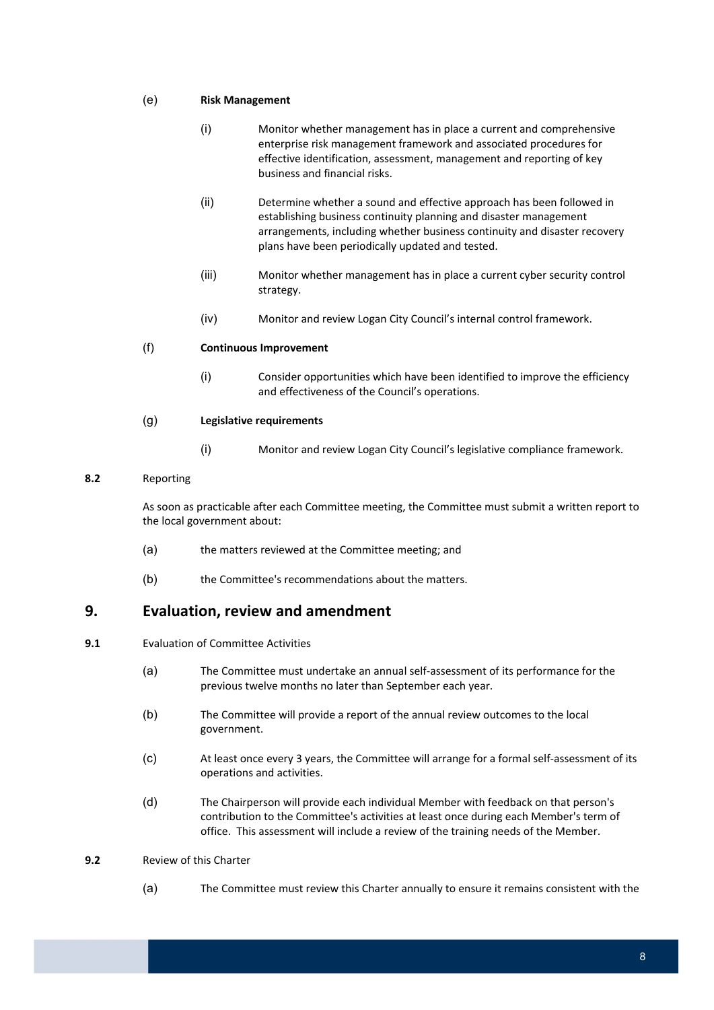#### (e) **Risk Management**

- (i) Monitor whether management has in place a current and comprehensive enterprise risk management framework and associated procedures for effective identification, assessment, management and reporting of key business and financial risks.
- (ii) Determine whether a sound and effective approach has been followed in establishing business continuity planning and disaster management arrangements, including whether business continuity and disaster recovery plans have been periodically updated and tested.
- (iii) Monitor whether management has in place a current cyber security control strategy.
- (iv) Monitor and review Logan City Council's internal control framework.

#### (f) **Continuous Improvement**

 (i) Consider opportunities which have been identified to improve the efficiency and effectiveness of the Council's operations.

#### (g) **Legislative requirements**

(i) Monitor and review Logan City Council's legislative compliance framework.

#### **8.2** Reporting

 As soon as practicable after each Committee meeting, the Committee must submit a written report to the local government about:

- (a) the matters reviewed at the Committee meeting; and
- (b) the Committee's recommendations about the matters.

# **9. Evaluation, review and amendment**

- **9.1** Evaluation of Committee Activities
	- (a) The Committee must undertake an annual self‐assessment of its performance for the previous twelve months no later than September each year.
	- (b) The Committee will provide a report of the annual review outcomes to the local government.
	- (c) At least once every 3 years, the Committee will arrange for a formal self‐assessment of its operations and activities.
	- (d) The Chairperson will provide each individual Member with feedback on that person's contribution to the Committee's activities at least once during each Member's term of office. This assessment will include a review of the training needs of the Member.

#### **9.2** Review of this Charter

(a) The Committee must review this Charter annually to ensure it remains consistent with the